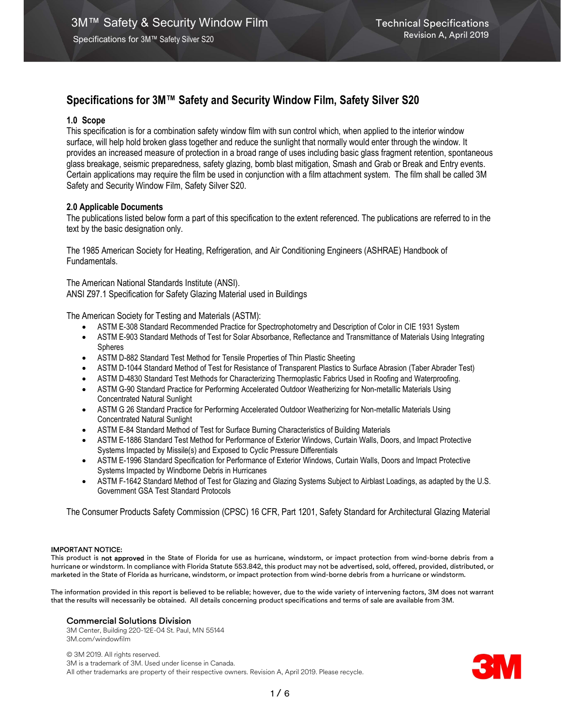# Specifications for 3M™ Safety and Security Window Film, Safety Silver S20

# 1.0 Scope

This specification is for a combination safety window film with sun control which, when applied to the interior window surface, will help hold broken glass together and reduce the sunlight that normally would enter through the window. It provides an increased measure of protection in a broad range of uses including basic glass fragment retention, spontaneous glass breakage, seismic preparedness, safety glazing, bomb blast mitigation, Smash and Grab or Break and Entry events. Certain applications may require the film be used in conjunction with a film attachment system. The film shall be called 3M Safety and Security Window Film, Safety Silver S20.

# 2.0 Applicable Documents

The publications listed below form a part of this specification to the extent referenced. The publications are referred to in the text by the basic designation only.

The 1985 American Society for Heating, Refrigeration, and Air Conditioning Engineers (ASHRAE) Handbook of Fundamentals.

The American National Standards Institute (ANSI). ANSI Z97.1 Specification for Safety Glazing Material used in Buildings

The American Society for Testing and Materials (ASTM):

- ASTM E-308 Standard Recommended Practice for Spectrophotometry and Description of Color in CIE 1931 System
- ASTM E-903 Standard Methods of Test for Solar Absorbance, Reflectance and Transmittance of Materials Using Integrating Spheres
- ASTM D-882 Standard Test Method for Tensile Properties of Thin Plastic Sheeting
- ASTM D-1044 Standard Method of Test for Resistance of Transparent Plastics to Surface Abrasion (Taber Abrader Test)
- ASTM D-4830 Standard Test Methods for Characterizing Thermoplastic Fabrics Used in Roofing and Waterproofing.
- ASTM G-90 Standard Practice for Performing Accelerated Outdoor Weatherizing for Non-metallic Materials Using Concentrated Natural Sunlight
- ASTM G 26 Standard Practice for Performing Accelerated Outdoor Weatherizing for Non-metallic Materials Using Concentrated Natural Sunlight
- ASTM E-84 Standard Method of Test for Surface Burning Characteristics of Building Materials
- ASTM E-1886 Standard Test Method for Performance of Exterior Windows, Curtain Walls, Doors, and Impact Protective Systems Impacted by Missile(s) and Exposed to Cyclic Pressure Differentials
- ASTM E-1996 Standard Specification for Performance of Exterior Windows, Curtain Walls, Doors and Impact Protective Systems Impacted by Windborne Debris in Hurricanes
- ASTM F-1642 Standard Method of Test for Glazing and Glazing Systems Subject to Airblast Loadings, as adapted by the U.S. Government GSA Test Standard Protocols

The Consumer Products Safety Commission (CPSC) 16 CFR, Part 1201, Safety Standard for Architectural Glazing Material

#### IMPORTANT NOTICE:

This product is not approved in the State of Florida for use as hurricane, windstorm, or impact protection from wind-borne debris from a hurricane or windstorm. In compliance with Florida Statute 553.842, this product may not be advertised, sold, offered, provided, distributed, or marketed in the State of Florida as hurricane, windstorm, or impact protection from wind-borne debris from a hurricane or windstorm.

The information provided in this report is believed to be reliable; however, due to the wide variety of intervening factors, 3M does not warrant that the results will necessarily be obtained. All details concerning product specifications and terms of sale are available from 3M.

# Commercial Solutions Division

3M Center, Building 220-12E-04 St. Paul, MN 55144 3M.com/windowfilm

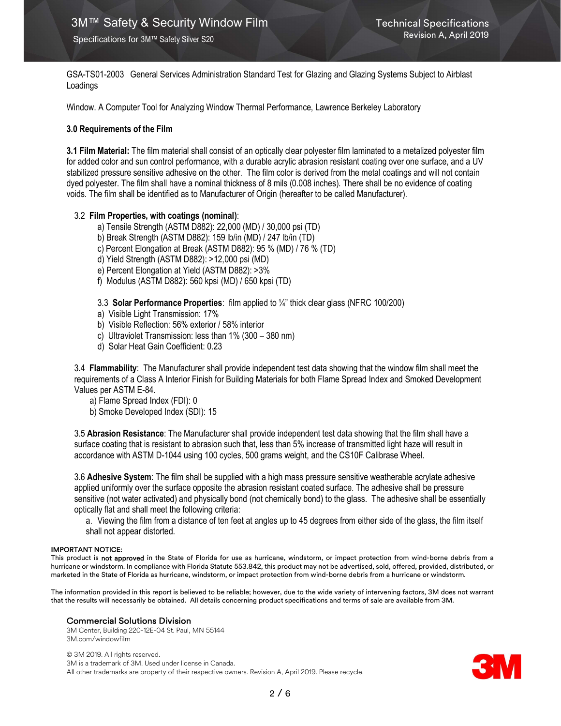GSA-TS01-2003 General Services Administration Standard Test for Glazing and Glazing Systems Subject to Airblast Loadings

Window. A Computer Tool for Analyzing Window Thermal Performance, Lawrence Berkeley Laboratory

#### 3.0 Requirements of the Film

3.1 Film Material: The film material shall consist of an optically clear polyester film laminated to a metalized polyester film for added color and sun control performance, with a durable acrylic abrasion resistant coating over one surface, and a UV stabilized pressure sensitive adhesive on the other. The film color is derived from the metal coatings and will not contain dyed polyester. The film shall have a nominal thickness of 8 mils (0.008 inches). There shall be no evidence of coating voids. The film shall be identified as to Manufacturer of Origin (hereafter to be called Manufacturer).

### 3.2 Film Properties, with coatings (nominal):

- a) Tensile Strength (ASTM D882): 22,000 (MD) / 30,000 psi (TD)
- b) Break Strength (ASTM D882): 159 lb/in (MD) / 247 lb/in (TD)
- c) Percent Elongation at Break (ASTM D882): 95 % (MD) / 76 % (TD)
- d) Yield Strength (ASTM D882): >12,000 psi (MD)
- e) Percent Elongation at Yield (ASTM D882): >3%
- f) Modulus (ASTM D882): 560 kpsi (MD) / 650 kpsi (TD)
- 3.3 Solar Performance Properties: film applied to ¼" thick clear glass (NFRC 100/200)
- a) Visible Light Transmission: 17%
- b) Visible Reflection: 56% exterior / 58% interior
- c) Ultraviolet Transmission: less than 1% (300 380 nm)
- d) Solar Heat Gain Coefficient: 0.23

3.4 Flammability: The Manufacturer shall provide independent test data showing that the window film shall meet the requirements of a Class A Interior Finish for Building Materials for both Flame Spread Index and Smoked Development Values per ASTM E-84.

- a) Flame Spread Index (FDI): 0
- b) Smoke Developed Index (SDI): 15

3.5 Abrasion Resistance: The Manufacturer shall provide independent test data showing that the film shall have a surface coating that is resistant to abrasion such that, less than 5% increase of transmitted light haze will result in accordance with ASTM D-1044 using 100 cycles, 500 grams weight, and the CS10F Calibrase Wheel.

3.6 Adhesive System: The film shall be supplied with a high mass pressure sensitive weatherable acrylate adhesive applied uniformly over the surface opposite the abrasion resistant coated surface. The adhesive shall be pressure sensitive (not water activated) and physically bond (not chemically bond) to the glass. The adhesive shall be essentially optically flat and shall meet the following criteria:

a. Viewing the film from a distance of ten feet at angles up to 45 degrees from either side of the glass, the film itself shall not appear distorted.

#### IMPORTANT NOTICE:

This product is not approved in the State of Florida for use as hurricane, windstorm, or impact protection from wind-borne debris from a hurricane or windstorm. In compliance with Florida Statute 553.842, this product may not be advertised, sold, offered, provided, distributed, or marketed in the State of Florida as hurricane, windstorm, or impact protection from wind-borne debris from a hurricane or windstorm.

The information provided in this report is believed to be reliable; however, due to the wide variety of intervening factors, 3M does not warrant that the results will necessarily be obtained. All details concerning product specifications and terms of sale are available from 3M.

#### Commercial Solutions Division

3M Center, Building 220-12E-04 St. Paul, MN 55144 3M.com/windowfilm

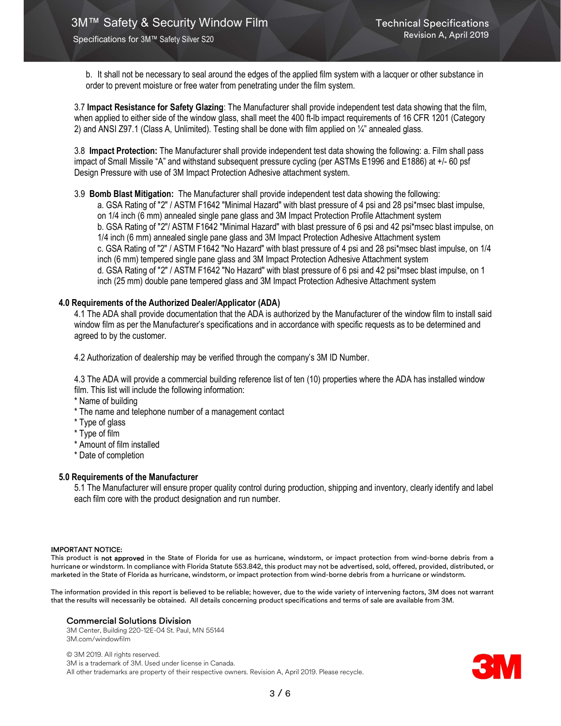b. It shall not be necessary to seal around the edges of the applied film system with a lacquer or other substance in order to prevent moisture or free water from penetrating under the film system.

3.7 Impact Resistance for Safety Glazing: The Manufacturer shall provide independent test data showing that the film, when applied to either side of the window glass, shall meet the 400 ft-lb impact requirements of 16 CFR 1201 (Category 2) and ANSI Z97.1 (Class A, Unlimited). Testing shall be done with film applied on ¼" annealed glass.

3.8 Impact Protection: The Manufacturer shall provide independent test data showing the following: a. Film shall pass impact of Small Missile "A" and withstand subsequent pressure cycling (per ASTMs E1996 and E1886) at +/- 60 psf Design Pressure with use of 3M Impact Protection Adhesive attachment system.

3.9 Bomb Blast Mitigation: The Manufacturer shall provide independent test data showing the following:

a. GSA Rating of "2" / ASTM F1642 "Minimal Hazard" with blast pressure of 4 psi and 28 psi\*msec blast impulse, on 1/4 inch (6 mm) annealed single pane glass and 3M Impact Protection Profile Attachment system b. GSA Rating of "2"/ ASTM F1642 "Minimal Hazard" with blast pressure of 6 psi and 42 psi\*msec blast impulse, on 1/4 inch (6 mm) annealed single pane glass and 3M Impact Protection Adhesive Attachment system c. GSA Rating of "2" / ASTM F1642 "No Hazard" with blast pressure of 4 psi and 28 psi\*msec blast impulse, on 1/4 inch (6 mm) tempered single pane glass and 3M Impact Protection Adhesive Attachment system d. GSA Rating of "2" / ASTM F1642 "No Hazard" with blast pressure of 6 psi and 42 psi\*msec blast impulse, on 1 inch (25 mm) double pane tempered glass and 3M Impact Protection Adhesive Attachment system

#### 4.0 Requirements of the Authorized Dealer/Applicator (ADA)

4.1 The ADA shall provide documentation that the ADA is authorized by the Manufacturer of the window film to install said window film as per the Manufacturer's specifications and in accordance with specific requests as to be determined and agreed to by the customer.

4.2 Authorization of dealership may be verified through the company's 3M ID Number.

4.3 The ADA will provide a commercial building reference list of ten (10) properties where the ADA has installed window film. This list will include the following information:

\* Name of building

- \* The name and telephone number of a management contact
- \* Type of glass
- \* Type of film
- \* Amount of film installed
- \* Date of completion

## 5.0 Requirements of the Manufacturer

5.1 The Manufacturer will ensure proper quality control during production, shipping and inventory, clearly identify and label each film core with the product designation and run number.

#### IMPORTANT NOTICE:

This product is not approved in the State of Florida for use as hurricane, windstorm, or impact protection from wind-borne debris from a hurricane or windstorm. In compliance with Florida Statute 553.842, this product may not be advertised, sold, offered, provided, distributed, or marketed in the State of Florida as hurricane, windstorm, or impact protection from wind-borne debris from a hurricane or windstorm.

The information provided in this report is believed to be reliable; however, due to the wide variety of intervening factors, 3M does not warrant that the results will necessarily be obtained. All details concerning product specifications and terms of sale are available from 3M.

#### Commercial Solutions Division

3M Center, Building 220-12E-04 St. Paul, MN 55144 3M.com/windowfilm

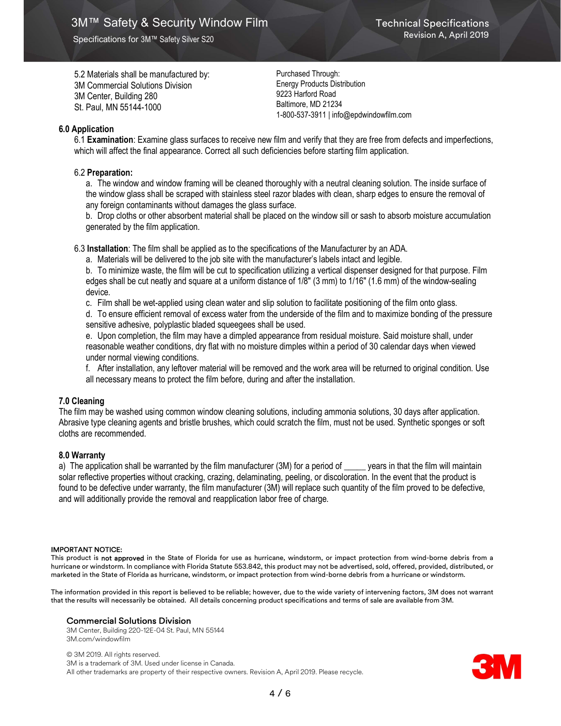5.2 Materials shall be manufactured by: 3M Commercial Solutions Division 3M Center, Building 280 St. Paul, MN 55144-1000

Purchased Through: Energy Products Distribution 9223 Harford Road Baltimore, MD 21234 1-800-537-3911 | info@epdwindowfilm.com

# 6.0 Application

6.1 Examination: Examine glass surfaces to receive new film and verify that they are free from defects and imperfections, which will affect the final appearance. Correct all such deficiencies before starting film application.

# 6.2 Preparation:

a. The window and window framing will be cleaned thoroughly with a neutral cleaning solution. The inside surface of the window glass shall be scraped with stainless steel razor blades with clean, sharp edges to ensure the removal of any foreign contaminants without damages the glass surface.

b. Drop cloths or other absorbent material shall be placed on the window sill or sash to absorb moisture accumulation generated by the film application.

6.3 Installation: The film shall be applied as to the specifications of the Manufacturer by an ADA.

a. Materials will be delivered to the job site with the manufacturer's labels intact and legible.

b. To minimize waste, the film will be cut to specification utilizing a vertical dispenser designed for that purpose. Film edges shall be cut neatly and square at a uniform distance of 1/8" (3 mm) to 1/16" (1.6 mm) of the window-sealing device.

c. Film shall be wet-applied using clean water and slip solution to facilitate positioning of the film onto glass.

d. To ensure efficient removal of excess water from the underside of the film and to maximize bonding of the pressure sensitive adhesive, polyplastic bladed squeegees shall be used.

e. Upon completion, the film may have a dimpled appearance from residual moisture. Said moisture shall, under reasonable weather conditions, dry flat with no moisture dimples within a period of 30 calendar days when viewed under normal viewing conditions.

f. After installation, any leftover material will be removed and the work area will be returned to original condition. Use all necessary means to protect the film before, during and after the installation.

# 7.0 Cleaning

The film may be washed using common window cleaning solutions, including ammonia solutions, 30 days after application. Abrasive type cleaning agents and bristle brushes, which could scratch the film, must not be used. Synthetic sponges or soft cloths are recommended.

# 8.0 Warranty

a) The application shall be warranted by the film manufacturer (3M) for a period of \_\_\_\_\_ years in that the film will maintain solar reflective properties without cracking, crazing, delaminating, peeling, or discoloration. In the event that the product is found to be defective under warranty, the film manufacturer (3M) will replace such quantity of the film proved to be defective, and will additionally provide the removal and reapplication labor free of charge.

#### IMPORTANT NOTICE:

This product is not approved in the State of Florida for use as hurricane, windstorm, or impact protection from wind-borne debris from a hurricane or windstorm. In compliance with Florida Statute 553.842, this product may not be advertised, sold, offered, provided, distributed, or marketed in the State of Florida as hurricane, windstorm, or impact protection from wind-borne debris from a hurricane or windstorm.

The information provided in this report is believed to be reliable; however, due to the wide variety of intervening factors, 3M does not warrant that the results will necessarily be obtained. All details concerning product specifications and terms of sale are available from 3M.

#### Commercial Solutions Division

3M Center, Building 220-12E-04 St. Paul, MN 55144 3M.com/windowfilm

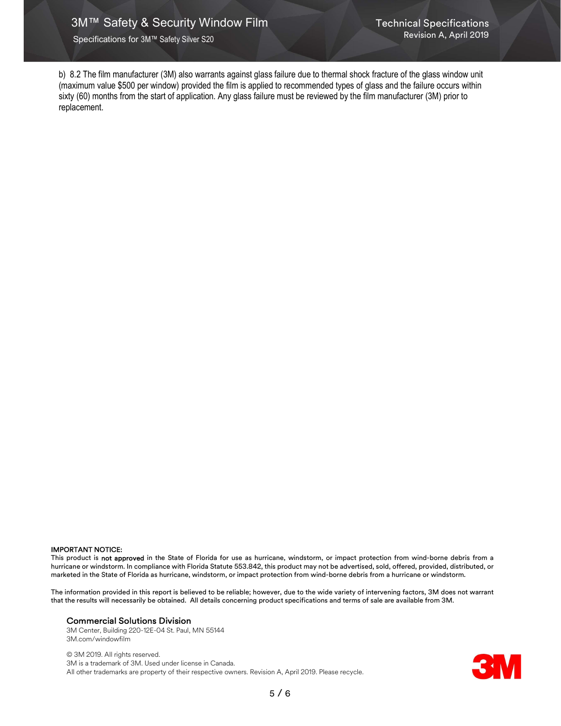b) 8.2 The film manufacturer (3M) also warrants against glass failure due to thermal shock fracture of the glass window unit (maximum value \$500 per window) provided the film is applied to recommended types of glass and the failure occurs within sixty (60) months from the start of application. Any glass failure must be reviewed by the film manufacturer (3M) prior to replacement.

#### IMPORTANT NOTICE:

This product is not approved in the State of Florida for use as hurricane, windstorm, or impact protection from wind-borne debris from a hurricane or windstorm. In compliance with Florida Statute 553.842, this product may not be advertised, sold, offered, provided, distributed, or marketed in the State of Florida as hurricane, windstorm, or impact protection from wind-borne debris from a hurricane or windstorm.

The information provided in this report is believed to be reliable; however, due to the wide variety of intervening factors, 3M does not warrant that the results will necessarily be obtained. All details concerning product specifications and terms of sale are available from 3M.

#### Commercial Solutions Division

3M Center, Building 220-12E-04 St. Paul, MN 55144 3M.com/windowfilm